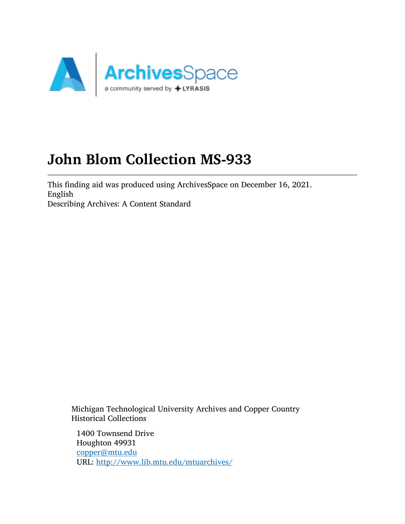

# John Blom Collection MS-933

This finding aid was produced using ArchivesSpace on December 16, 2021. English Describing Archives: A Content Standard

Michigan Technological University Archives and Copper Country Historical Collections

1400 Townsend Drive Houghton 49931 [copper@mtu.edu](mailto:copper@mtu.edu) URL: <http://www.lib.mtu.edu/mtuarchives/>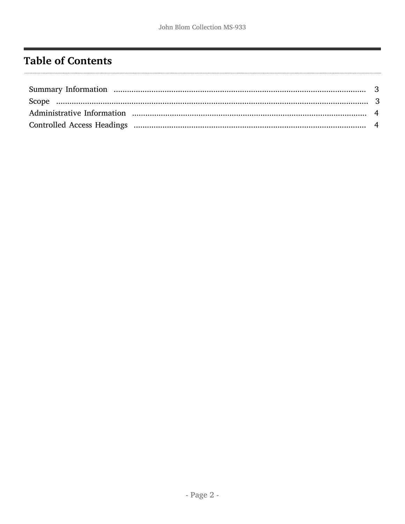## <span id="page-1-0"></span>**Table of Contents**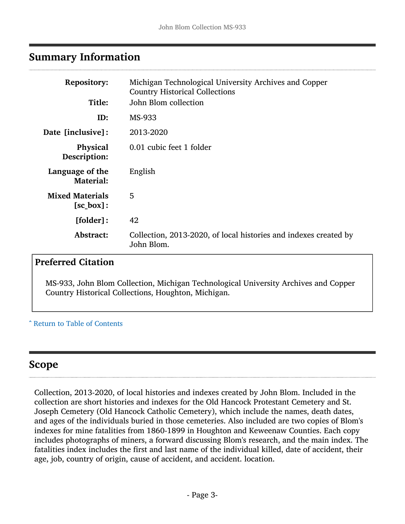### <span id="page-2-0"></span>Summary Information

| <b>Repository:</b>                             | Michigan Technological University Archives and Copper<br><b>Country Historical Collections</b> |
|------------------------------------------------|------------------------------------------------------------------------------------------------|
| Title:                                         | John Blom collection                                                                           |
| ID:                                            | MS-933                                                                                         |
| Date [inclusive]:                              | 2013-2020                                                                                      |
| <b>Physical</b><br>Description:                | 0.01 cubic feet 1 folder                                                                       |
| Language of the<br><b>Material:</b>            | English                                                                                        |
| <b>Mixed Materials</b><br>$[sc_{\theta} box]:$ | 5                                                                                              |
| [folder]:                                      | 42                                                                                             |
| Abstract:                                      | Collection, 2013-2020, of local histories and indexes created by<br>John Blom.                 |

#### Preferred Citation

MS-933, John Blom Collection, Michigan Technological University Archives and Copper Country Historical Collections, Houghton, Michigan.

#### ^ [Return to Table of Contents](#page-1-0)

### <span id="page-2-1"></span>Scope

Collection, 2013-2020, of local histories and indexes created by John Blom. Included in the collection are short histories and indexes for the Old Hancock Protestant Cemetery and St. Joseph Cemetery (Old Hancock Catholic Cemetery), which include the names, death dates, and ages of the individuals buried in those cemeteries. Also included are two copies of Blom's indexes for mine fatalities from 1860-1899 in Houghton and Keweenaw Counties. Each copy includes photographs of miners, a forward discussing Blom's research, and the main index. The fatalities index includes the first and last name of the individual killed, date of accident, their age, job, country of origin, cause of accident, and accident. location.